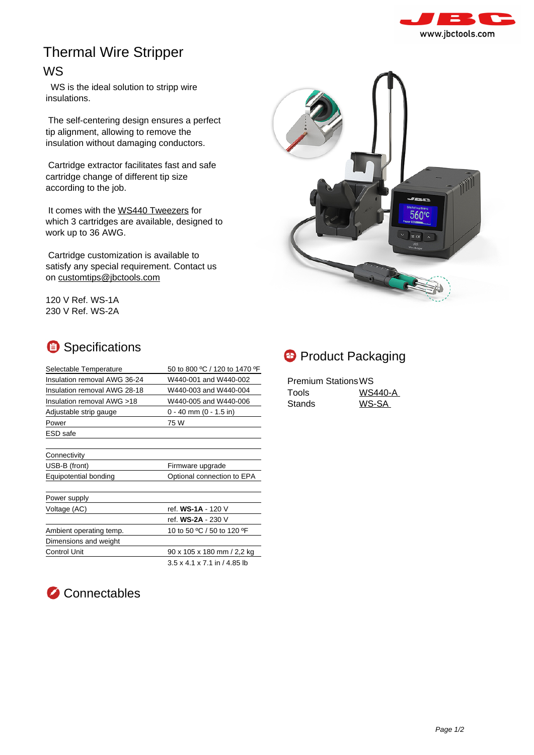

## Thermal Wire Stripper

## WS

 WS is the ideal solution to stripp wire insulations.

 The self-centering design ensures a perfect tip alignment, allowing to remove the insulation without damaging conductors.

 Cartridge extractor facilitates fast and safe cartridge change of different tip size according to the job.

It comes with the [WS440 Tweezers](https://www.jbctools.com/ws440-a--product-1676.html) for which 3 cartridges are available, designed to work up to 36 AWG.

 Cartridge customization is available to satisfy any special requirement. Contact us on [customtips@jbctools.com](https://www.jbctools.com/mailto:customtips@jbctools.com)

120 V Ref. WS-1A 230 V Ref. WS-2A

## Specifications

| Selectable Temperature       | 50 to 800 °C / 120 to 1470 °F            |
|------------------------------|------------------------------------------|
| Insulation removal AWG 36-24 | W440-001 and W440-002                    |
| Insulation removal AWG 28-18 | W440-003 and W440-004                    |
| Insulation removal AWG >18   | W440-005 and W440-006                    |
| Adjustable strip gauge       | $0 - 40$ mm $(0 - 1.5$ in)               |
| Power                        | 75 W                                     |
| ESD safe                     |                                          |
|                              |                                          |
| Connectivity                 |                                          |
| USB-B (front)                | Firmware upgrade                         |
| Equipotential bonding        | Optional connection to EPA               |
|                              |                                          |
| Power supply                 |                                          |
| Voltage (AC)                 | ref. WS-1A - 120 V                       |
|                              | ref. WS-2A - 230 V                       |
| Ambient operating temp.      | 10 to 50 °C / 50 to 120 °F               |
| Dimensions and weight        |                                          |
| <b>Control Unit</b>          | 90 x 105 x 180 mm / 2,2 kg               |
|                              | $3.5 \times 4.1 \times 7.1$ in / 4.85 lb |





| <b>Premium Stations WS</b> |         |
|----------------------------|---------|
| Tools                      | WS440-A |
| Stands                     | WS-SA   |